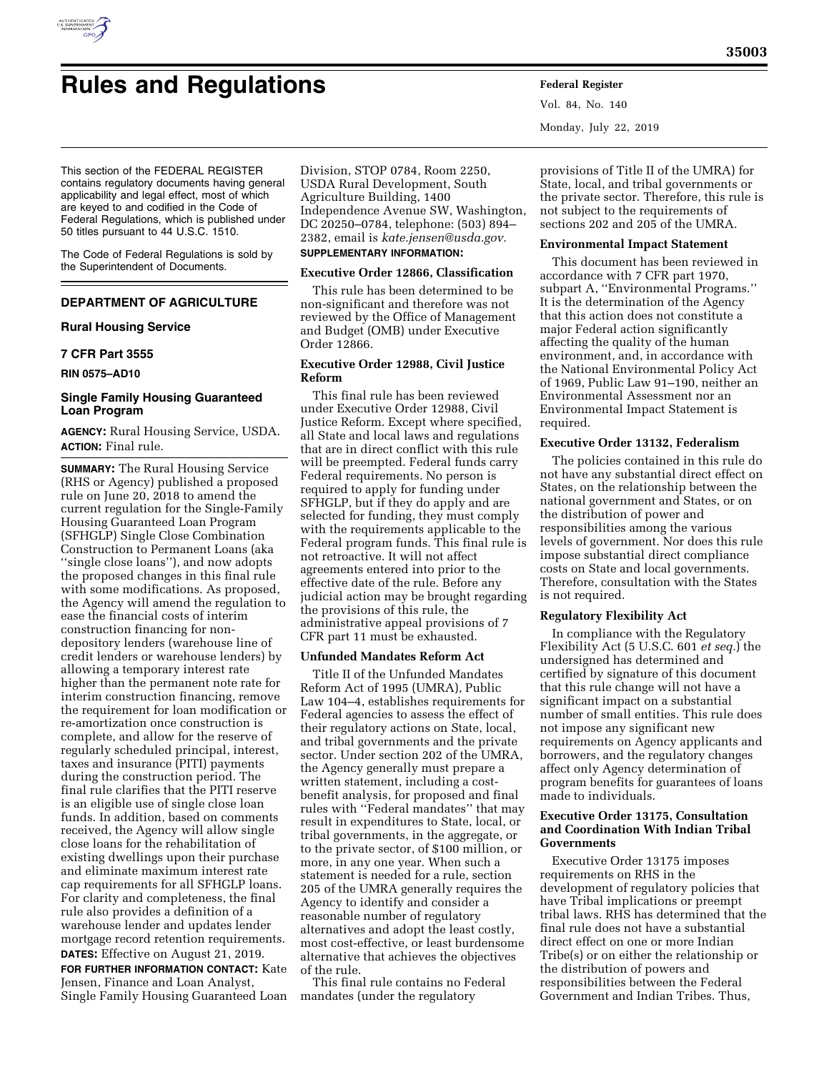

# **Rules and Regulations Federal Register**

Vol. 84, No. 140 Monday, July 22, 2019

This section of the FEDERAL REGISTER contains regulatory documents having general applicability and legal effect, most of which are keyed to and codified in the Code of Federal Regulations, which is published under 50 titles pursuant to 44 U.S.C. 1510.

The Code of Federal Regulations is sold by the Superintendent of Documents.

# **DEPARTMENT OF AGRICULTURE**

# **Rural Housing Service**

## **7 CFR Part 3555**

**RIN 0575–AD10** 

# **Single Family Housing Guaranteed Loan Program**

**AGENCY:** Rural Housing Service, USDA. **ACTION:** Final rule.

**SUMMARY:** The Rural Housing Service (RHS or Agency) published a proposed rule on June 20, 2018 to amend the current regulation for the Single-Family Housing Guaranteed Loan Program (SFHGLP) Single Close Combination Construction to Permanent Loans (aka ''single close loans''), and now adopts the proposed changes in this final rule with some modifications. As proposed, the Agency will amend the regulation to ease the financial costs of interim construction financing for nondepository lenders (warehouse line of credit lenders or warehouse lenders) by allowing a temporary interest rate higher than the permanent note rate for interim construction financing, remove the requirement for loan modification or re-amortization once construction is complete, and allow for the reserve of regularly scheduled principal, interest, taxes and insurance (PITI) payments during the construction period. The final rule clarifies that the PITI reserve is an eligible use of single close loan funds. In addition, based on comments received, the Agency will allow single close loans for the rehabilitation of existing dwellings upon their purchase and eliminate maximum interest rate cap requirements for all SFHGLP loans. For clarity and completeness, the final rule also provides a definition of a warehouse lender and updates lender mortgage record retention requirements. **DATES:** Effective on August 21, 2019.

**FOR FURTHER INFORMATION CONTACT:** Kate Jensen, Finance and Loan Analyst, Single Family Housing Guaranteed Loan

Division, STOP 0784, Room 2250, USDA Rural Development, South Agriculture Building, 1400 Independence Avenue SW, Washington, DC 20250–0784, telephone: (503) 894– 2382, email is *[kate.jensen@usda.gov.](mailto:kate.jensen@usda.gov)*  **SUPPLEMENTARY INFORMATION:** 

# **Executive Order 12866, Classification**

This rule has been determined to be non-significant and therefore was not reviewed by the Office of Management and Budget (OMB) under Executive Order 12866.

# **Executive Order 12988, Civil Justice Reform**

This final rule has been reviewed under Executive Order 12988, Civil Justice Reform. Except where specified, all State and local laws and regulations that are in direct conflict with this rule will be preempted. Federal funds carry Federal requirements. No person is required to apply for funding under SFHGLP, but if they do apply and are selected for funding, they must comply with the requirements applicable to the Federal program funds. This final rule is not retroactive. It will not affect agreements entered into prior to the effective date of the rule. Before any judicial action may be brought regarding the provisions of this rule, the administrative appeal provisions of 7 CFR part 11 must be exhausted.

# **Unfunded Mandates Reform Act**

Title II of the Unfunded Mandates Reform Act of 1995 (UMRA), Public Law 104–4, establishes requirements for Federal agencies to assess the effect of their regulatory actions on State, local, and tribal governments and the private sector. Under section 202 of the UMRA, the Agency generally must prepare a written statement, including a costbenefit analysis, for proposed and final rules with ''Federal mandates'' that may result in expenditures to State, local, or tribal governments, in the aggregate, or to the private sector, of \$100 million, or more, in any one year. When such a statement is needed for a rule, section 205 of the UMRA generally requires the Agency to identify and consider a reasonable number of regulatory alternatives and adopt the least costly, most cost-effective, or least burdensome alternative that achieves the objectives of the rule.

This final rule contains no Federal mandates (under the regulatory

provisions of Title II of the UMRA) for State, local, and tribal governments or the private sector. Therefore, this rule is not subject to the requirements of sections 202 and 205 of the UMRA.

# **Environmental Impact Statement**

This document has been reviewed in accordance with 7 CFR part 1970, subpart A, ''Environmental Programs.'' It is the determination of the Agency that this action does not constitute a major Federal action significantly affecting the quality of the human environment, and, in accordance with the National Environmental Policy Act of 1969, Public Law 91–190, neither an Environmental Assessment nor an Environmental Impact Statement is required.

## **Executive Order 13132, Federalism**

The policies contained in this rule do not have any substantial direct effect on States, on the relationship between the national government and States, or on the distribution of power and responsibilities among the various levels of government. Nor does this rule impose substantial direct compliance costs on State and local governments. Therefore, consultation with the States is not required.

# **Regulatory Flexibility Act**

In compliance with the Regulatory Flexibility Act (5 U.S.C. 601 *et seq.*) the undersigned has determined and certified by signature of this document that this rule change will not have a significant impact on a substantial number of small entities. This rule does not impose any significant new requirements on Agency applicants and borrowers, and the regulatory changes affect only Agency determination of program benefits for guarantees of loans made to individuals.

# **Executive Order 13175, Consultation and Coordination With Indian Tribal Governments**

Executive Order 13175 imposes requirements on RHS in the development of regulatory policies that have Tribal implications or preempt tribal laws. RHS has determined that the final rule does not have a substantial direct effect on one or more Indian Tribe(s) or on either the relationship or the distribution of powers and responsibilities between the Federal Government and Indian Tribes. Thus,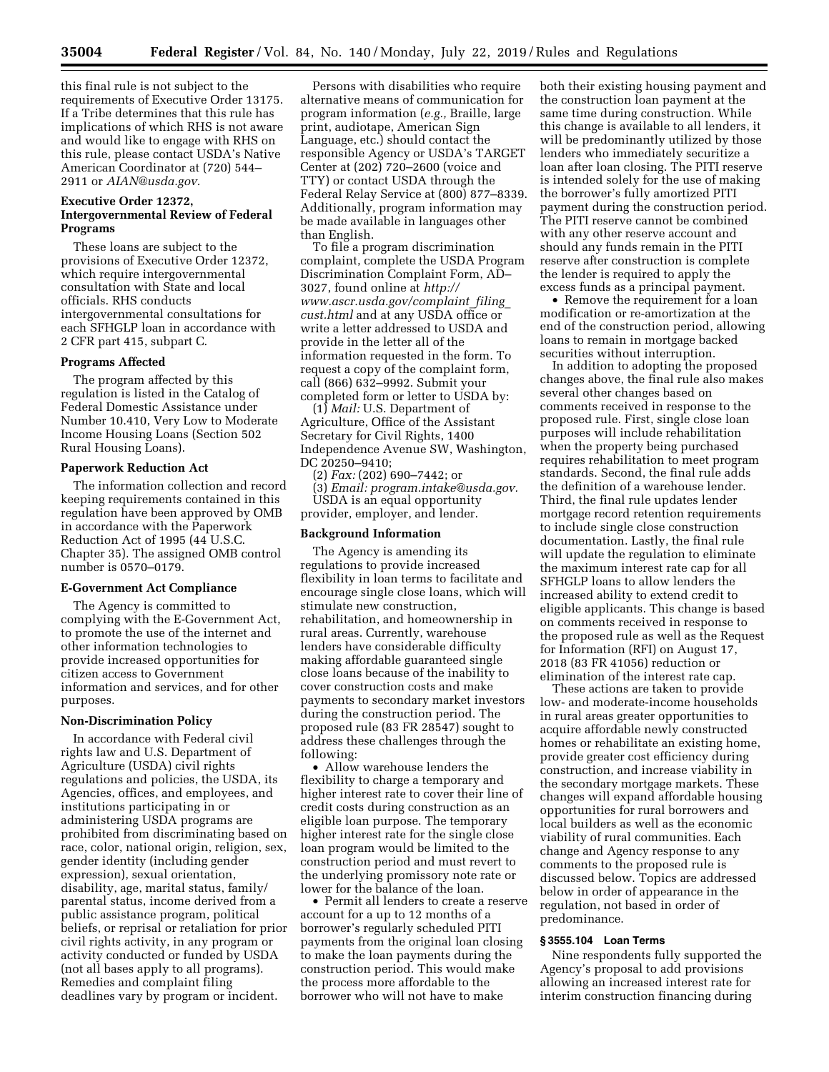this final rule is not subject to the requirements of Executive Order 13175. If a Tribe determines that this rule has implications of which RHS is not aware and would like to engage with RHS on this rule, please contact USDA's Native American Coordinator at (720) 544– 2911 or *[AIAN@usda.gov.](mailto:AIAN@usda.gov)* 

## **Executive Order 12372, Intergovernmental Review of Federal Programs**

These loans are subject to the provisions of Executive Order 12372, which require intergovernmental consultation with State and local officials. RHS conducts intergovernmental consultations for each SFHGLP loan in accordance with 2 CFR part 415, subpart C.

## **Programs Affected**

The program affected by this regulation is listed in the Catalog of Federal Domestic Assistance under Number 10.410, Very Low to Moderate Income Housing Loans (Section 502 Rural Housing Loans).

## **Paperwork Reduction Act**

The information collection and record keeping requirements contained in this regulation have been approved by OMB in accordance with the Paperwork Reduction Act of 1995 (44 U.S.C. Chapter 35). The assigned OMB control number is 0570–0179.

#### **E-Government Act Compliance**

The Agency is committed to complying with the E-Government Act, to promote the use of the internet and other information technologies to provide increased opportunities for citizen access to Government information and services, and for other purposes.

## **Non-Discrimination Policy**

In accordance with Federal civil rights law and U.S. Department of Agriculture (USDA) civil rights regulations and policies, the USDA, its Agencies, offices, and employees, and institutions participating in or administering USDA programs are prohibited from discriminating based on race, color, national origin, religion, sex, gender identity (including gender expression), sexual orientation, disability, age, marital status, family/ parental status, income derived from a public assistance program, political beliefs, or reprisal or retaliation for prior civil rights activity, in any program or activity conducted or funded by USDA (not all bases apply to all programs). Remedies and complaint filing deadlines vary by program or incident.

Persons with disabilities who require alternative means of communication for program information (*e.g.,* Braille, large print, audiotape, American Sign Language, etc.) should contact the responsible Agency or USDA's TARGET Center at (202) 720–2600 (voice and TTY) or contact USDA through the Federal Relay Service at (800) 877–8339. Additionally, program information may be made available in languages other than English.

To file a program discrimination complaint, complete the USDA Program Discrimination Complaint Form, AD– 3027, found online at *[http://](http://www.ascr.usda.gov/complaint_filing_cust.html) [www.ascr.usda.gov/complaint](http://www.ascr.usda.gov/complaint_filing_cust.html)*\_*filing*\_ *[cust.html](http://www.ascr.usda.gov/complaint_filing_cust.html)* and at any USDA office or write a letter addressed to USDA and provide in the letter all of the information requested in the form. To request a copy of the complaint form, call (866) 632–9992. Submit your completed form or letter to USDA by:

(1) *Mail:* U.S. Department of Agriculture, Office of the Assistant Secretary for Civil Rights, 1400 Independence Avenue SW, Washington, DC 20250–9410;

(2) *Fax:* (202) 690–7442; or (3) *Email: [program.intake@usda.gov.](mailto:program.intake@usda.gov)*  USDA is an equal opportunity provider, employer, and lender.

## **Background Information**

The Agency is amending its regulations to provide increased flexibility in loan terms to facilitate and encourage single close loans, which will stimulate new construction, rehabilitation, and homeownership in rural areas. Currently, warehouse lenders have considerable difficulty making affordable guaranteed single close loans because of the inability to cover construction costs and make payments to secondary market investors during the construction period. The proposed rule (83 FR 28547) sought to address these challenges through the following:

• Allow warehouse lenders the flexibility to charge a temporary and higher interest rate to cover their line of credit costs during construction as an eligible loan purpose. The temporary higher interest rate for the single close loan program would be limited to the construction period and must revert to the underlying promissory note rate or lower for the balance of the loan.

• Permit all lenders to create a reserve account for a up to 12 months of a borrower's regularly scheduled PITI payments from the original loan closing to make the loan payments during the construction period. This would make the process more affordable to the borrower who will not have to make

both their existing housing payment and the construction loan payment at the same time during construction. While this change is available to all lenders, it will be predominantly utilized by those lenders who immediately securitize a loan after loan closing. The PITI reserve is intended solely for the use of making the borrower's fully amortized PITI payment during the construction period. The PITI reserve cannot be combined with any other reserve account and should any funds remain in the PITI reserve after construction is complete the lender is required to apply the excess funds as a principal payment.

• Remove the requirement for a loan modification or re-amortization at the end of the construction period, allowing loans to remain in mortgage backed securities without interruption.

In addition to adopting the proposed changes above, the final rule also makes several other changes based on comments received in response to the proposed rule. First, single close loan purposes will include rehabilitation when the property being purchased requires rehabilitation to meet program standards. Second, the final rule adds the definition of a warehouse lender. Third, the final rule updates lender mortgage record retention requirements to include single close construction documentation. Lastly, the final rule will update the regulation to eliminate the maximum interest rate cap for all SFHGLP loans to allow lenders the increased ability to extend credit to eligible applicants. This change is based on comments received in response to the proposed rule as well as the Request for Information (RFI) on August 17, 2018 (83 FR 41056) reduction or elimination of the interest rate cap.

These actions are taken to provide low- and moderate-income households in rural areas greater opportunities to acquire affordable newly constructed homes or rehabilitate an existing home, provide greater cost efficiency during construction, and increase viability in the secondary mortgage markets. These changes will expand affordable housing opportunities for rural borrowers and local builders as well as the economic viability of rural communities. Each change and Agency response to any comments to the proposed rule is discussed below. Topics are addressed below in order of appearance in the regulation, not based in order of predominance.

# **§ 3555.104 Loan Terms**

Nine respondents fully supported the Agency's proposal to add provisions allowing an increased interest rate for interim construction financing during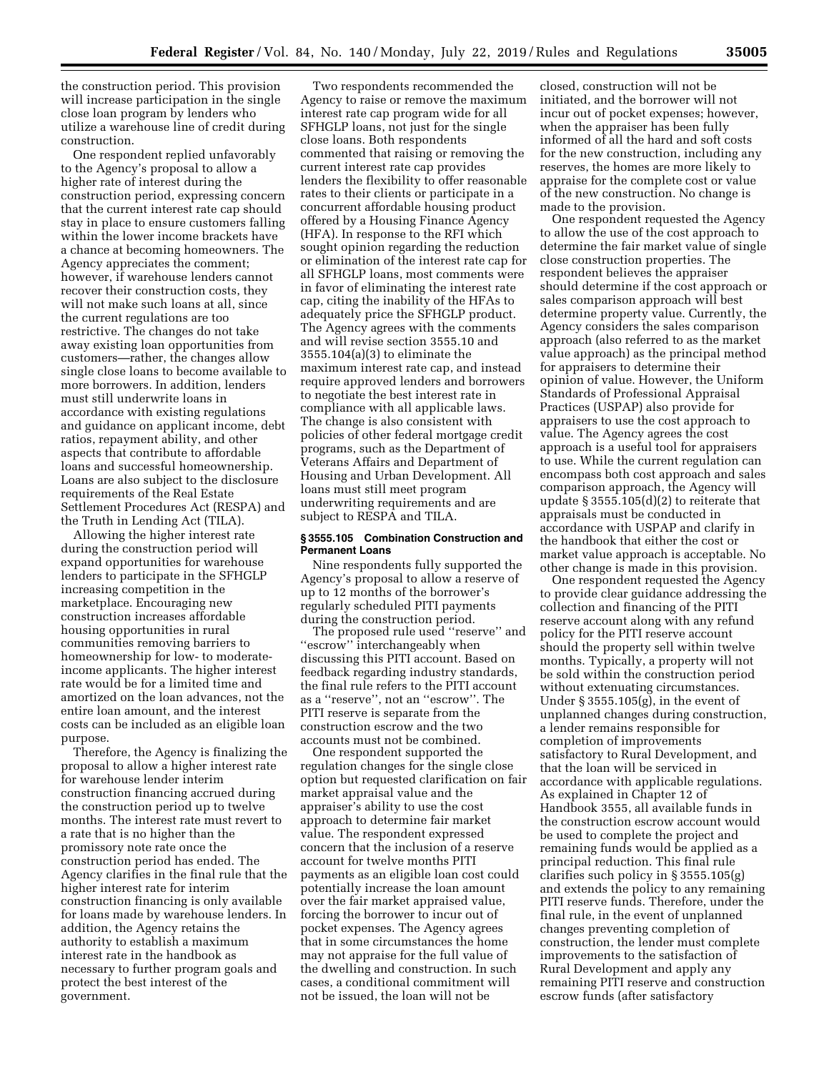the construction period. This provision will increase participation in the single close loan program by lenders who utilize a warehouse line of credit during construction.

One respondent replied unfavorably to the Agency's proposal to allow a higher rate of interest during the construction period, expressing concern that the current interest rate cap should stay in place to ensure customers falling within the lower income brackets have a chance at becoming homeowners. The Agency appreciates the comment; however, if warehouse lenders cannot recover their construction costs, they will not make such loans at all, since the current regulations are too restrictive. The changes do not take away existing loan opportunities from customers—rather, the changes allow single close loans to become available to more borrowers. In addition, lenders must still underwrite loans in accordance with existing regulations and guidance on applicant income, debt ratios, repayment ability, and other aspects that contribute to affordable loans and successful homeownership. Loans are also subject to the disclosure requirements of the Real Estate Settlement Procedures Act (RESPA) and the Truth in Lending Act (TILA).

Allowing the higher interest rate during the construction period will expand opportunities for warehouse lenders to participate in the SFHGLP increasing competition in the marketplace. Encouraging new construction increases affordable housing opportunities in rural communities removing barriers to homeownership for low- to moderateincome applicants. The higher interest rate would be for a limited time and amortized on the loan advances, not the entire loan amount, and the interest costs can be included as an eligible loan purpose.

Therefore, the Agency is finalizing the proposal to allow a higher interest rate for warehouse lender interim construction financing accrued during the construction period up to twelve months. The interest rate must revert to a rate that is no higher than the promissory note rate once the construction period has ended. The Agency clarifies in the final rule that the higher interest rate for interim construction financing is only available for loans made by warehouse lenders. In addition, the Agency retains the authority to establish a maximum interest rate in the handbook as necessary to further program goals and protect the best interest of the government.

Two respondents recommended the Agency to raise or remove the maximum interest rate cap program wide for all SFHGLP loans, not just for the single close loans. Both respondents commented that raising or removing the current interest rate cap provides lenders the flexibility to offer reasonable rates to their clients or participate in a concurrent affordable housing product offered by a Housing Finance Agency (HFA). In response to the RFI which sought opinion regarding the reduction or elimination of the interest rate cap for all SFHGLP loans, most comments were in favor of eliminating the interest rate cap, citing the inability of the HFAs to adequately price the SFHGLP product. The Agency agrees with the comments and will revise section 3555.10 and 3555.104(a)(3) to eliminate the maximum interest rate cap, and instead require approved lenders and borrowers to negotiate the best interest rate in compliance with all applicable laws. The change is also consistent with policies of other federal mortgage credit programs, such as the Department of Veterans Affairs and Department of Housing and Urban Development. All loans must still meet program underwriting requirements and are subject to RESPA and TILA.

## **§ 3555.105 Combination Construction and Permanent Loans**

Nine respondents fully supported the Agency's proposal to allow a reserve of up to 12 months of the borrower's regularly scheduled PITI payments during the construction period.

The proposed rule used ''reserve'' and ''escrow'' interchangeably when discussing this PITI account. Based on feedback regarding industry standards, the final rule refers to the PITI account as a ''reserve'', not an ''escrow''. The PITI reserve is separate from the construction escrow and the two accounts must not be combined.

One respondent supported the regulation changes for the single close option but requested clarification on fair market appraisal value and the appraiser's ability to use the cost approach to determine fair market value. The respondent expressed concern that the inclusion of a reserve account for twelve months PITI payments as an eligible loan cost could potentially increase the loan amount over the fair market appraised value, forcing the borrower to incur out of pocket expenses. The Agency agrees that in some circumstances the home may not appraise for the full value of the dwelling and construction. In such cases, a conditional commitment will not be issued, the loan will not be

closed, construction will not be initiated, and the borrower will not incur out of pocket expenses; however, when the appraiser has been fully informed of all the hard and soft costs for the new construction, including any reserves, the homes are more likely to appraise for the complete cost or value of the new construction. No change is made to the provision.

One respondent requested the Agency to allow the use of the cost approach to determine the fair market value of single close construction properties. The respondent believes the appraiser should determine if the cost approach or sales comparison approach will best determine property value. Currently, the Agency considers the sales comparison approach (also referred to as the market value approach) as the principal method for appraisers to determine their opinion of value. However, the Uniform Standards of Professional Appraisal Practices (USPAP) also provide for appraisers to use the cost approach to value. The Agency agrees the cost approach is a useful tool for appraisers to use. While the current regulation can encompass both cost approach and sales comparison approach, the Agency will update § 3555.105(d)(2) to reiterate that appraisals must be conducted in accordance with USPAP and clarify in the handbook that either the cost or market value approach is acceptable. No other change is made in this provision.

One respondent requested the Agency to provide clear guidance addressing the collection and financing of the PITI reserve account along with any refund policy for the PITI reserve account should the property sell within twelve months. Typically, a property will not be sold within the construction period without extenuating circumstances. Under § 3555.105(g), in the event of unplanned changes during construction, a lender remains responsible for completion of improvements satisfactory to Rural Development, and that the loan will be serviced in accordance with applicable regulations. As explained in Chapter 12 of Handbook 3555, all available funds in the construction escrow account would be used to complete the project and remaining funds would be applied as a principal reduction. This final rule clarifies such policy in § 3555.105(g) and extends the policy to any remaining PITI reserve funds. Therefore, under the final rule, in the event of unplanned changes preventing completion of construction, the lender must complete improvements to the satisfaction of Rural Development and apply any remaining PITI reserve and construction escrow funds (after satisfactory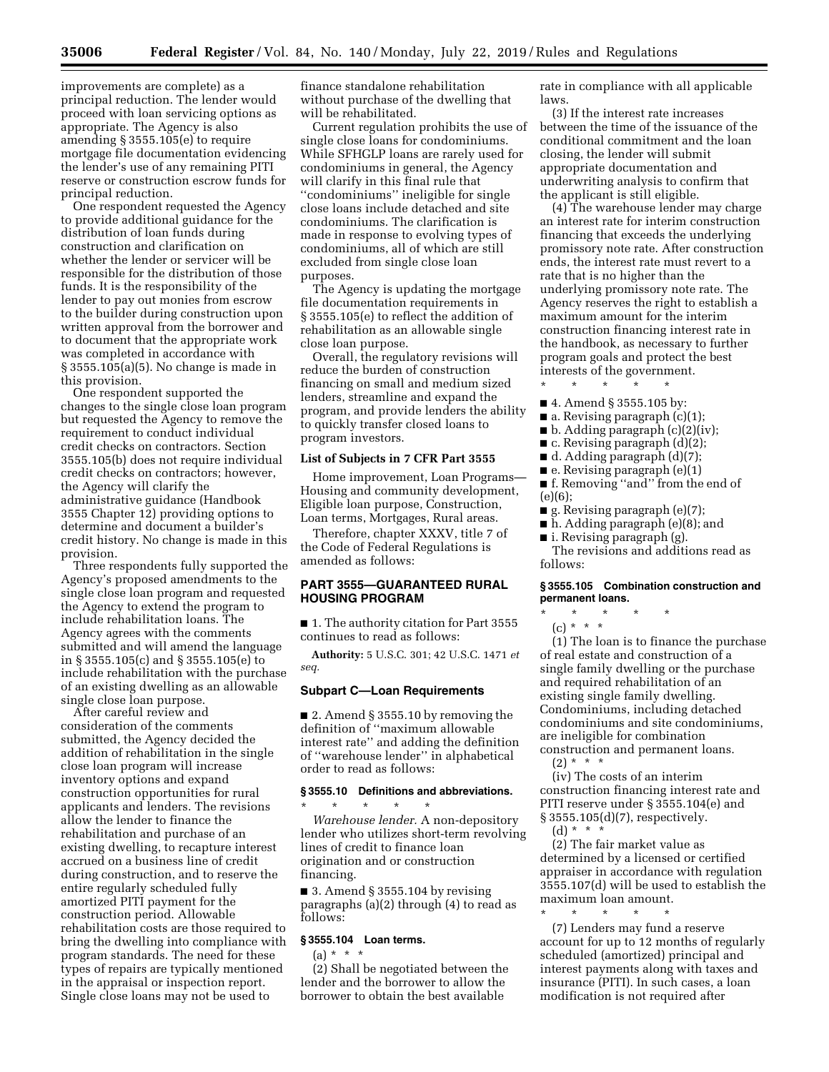improvements are complete) as a principal reduction. The lender would proceed with loan servicing options as appropriate. The Agency is also amending § 3555.105(e) to require mortgage file documentation evidencing the lender's use of any remaining PITI reserve or construction escrow funds for principal reduction.

One respondent requested the Agency to provide additional guidance for the distribution of loan funds during construction and clarification on whether the lender or servicer will be responsible for the distribution of those funds. It is the responsibility of the lender to pay out monies from escrow to the builder during construction upon written approval from the borrower and to document that the appropriate work was completed in accordance with § 3555.105(a)(5). No change is made in this provision.

One respondent supported the changes to the single close loan program but requested the Agency to remove the requirement to conduct individual credit checks on contractors. Section 3555.105(b) does not require individual credit checks on contractors; however, the Agency will clarify the administrative guidance (Handbook 3555 Chapter 12) providing options to determine and document a builder's credit history. No change is made in this provision.

Three respondents fully supported the Agency's proposed amendments to the single close loan program and requested the Agency to extend the program to include rehabilitation loans. The Agency agrees with the comments submitted and will amend the language in § 3555.105(c) and § 3555.105(e) to include rehabilitation with the purchase of an existing dwelling as an allowable single close loan purpose.

After careful review and consideration of the comments submitted, the Agency decided the addition of rehabilitation in the single close loan program will increase inventory options and expand construction opportunities for rural applicants and lenders. The revisions allow the lender to finance the rehabilitation and purchase of an existing dwelling, to recapture interest accrued on a business line of credit during construction, and to reserve the entire regularly scheduled fully amortized PITI payment for the construction period. Allowable rehabilitation costs are those required to bring the dwelling into compliance with program standards. The need for these types of repairs are typically mentioned in the appraisal or inspection report. Single close loans may not be used to

finance standalone rehabilitation without purchase of the dwelling that will be rehabilitated.

Current regulation prohibits the use of single close loans for condominiums. While SFHGLP loans are rarely used for condominiums in general, the Agency will clarify in this final rule that ''condominiums'' ineligible for single close loans include detached and site condominiums. The clarification is made in response to evolving types of condominiums, all of which are still excluded from single close loan purposes.

The Agency is updating the mortgage file documentation requirements in § 3555.105(e) to reflect the addition of rehabilitation as an allowable single close loan purpose.

Overall, the regulatory revisions will reduce the burden of construction financing on small and medium sized lenders, streamline and expand the program, and provide lenders the ability to quickly transfer closed loans to program investors.

# **List of Subjects in 7 CFR Part 3555**

Home improvement, Loan Programs— Housing and community development, Eligible loan purpose, Construction, Loan terms, Mortgages, Rural areas.

Therefore, chapter XXXV, title 7 of the Code of Federal Regulations is amended as follows:

## **PART 3555—GUARANTEED RURAL HOUSING PROGRAM**

■ 1. The authority citation for Part 3555 continues to read as follows:

**Authority:** 5 U.S.C. 301; 42 U.S.C. 1471 *et seq.* 

## **Subpart C—Loan Requirements**

 $\blacksquare$  2. Amend § 3555.10 by removing the definition of ''maximum allowable interest rate'' and adding the definition of ''warehouse lender'' in alphabetical order to read as follows:

## **§ 3555.10 Definitions and abbreviations.**  \* \* \* \* \*

*Warehouse lender.* A non-depository lender who utilizes short-term revolving lines of credit to finance loan origination and or construction financing.

 $\blacksquare$  3. Amend § 3555.104 by revising paragraphs (a)(2) through (4) to read as follows:

# **§ 3555.104 Loan terms.**

 $(a) * * * *$ 

(2) Shall be negotiated between the lender and the borrower to allow the borrower to obtain the best available

rate in compliance with all applicable laws.

(3) If the interest rate increases between the time of the issuance of the conditional commitment and the loan closing, the lender will submit appropriate documentation and underwriting analysis to confirm that the applicant is still eligible.

(4) The warehouse lender may charge an interest rate for interim construction financing that exceeds the underlying promissory note rate. After construction ends, the interest rate must revert to a rate that is no higher than the underlying promissory note rate. The Agency reserves the right to establish a maximum amount for the interim construction financing interest rate in the handbook, as necessary to further program goals and protect the best interests of the government.

- \* \* \* \* \* ■ 4. Amend § 3555.105 by:
- a. Revising paragraph (c)(1);
- b. Adding paragraph (c)(2)(iv);
- $\blacksquare$  c. Revising paragraph  $(d)(2)$ ;
- $\blacksquare$  d. Adding paragraph  $(d)(7)$ ;
- $\blacksquare$  e. Revising paragraph (e)(1)
- f. Removing ''and'' from the end of (e)(6);
- **g**. Revising paragraph  $(e)(7)$ ;
- h. Adding paragraph (e)(8); and
- i. Revising paragraph (g).

The revisions and additions read as follows:

# **§ 3555.105 Combination construction and permanent loans.**

- $\star$   $\star$
- $(c) * * * *$

(1) The loan is to finance the purchase of real estate and construction of a single family dwelling or the purchase and required rehabilitation of an existing single family dwelling. Condominiums, including detached condominiums and site condominiums, are ineligible for combination

construction and permanent loans.  $(2) * * * *$ 

(iv) The costs of an interim construction financing interest rate and PITI reserve under § 3555.104(e) and § 3555.105(d)(7), respectively.

(d) \* \* \*

(2) The fair market value as determined by a licensed or certified appraiser in accordance with regulation 3555.107(d) will be used to establish the maximum loan amount.

\* \* \* \* \* (7) Lenders may fund a reserve account for up to 12 months of regularly scheduled (amortized) principal and interest payments along with taxes and insurance (PITI). In such cases, a loan modification is not required after